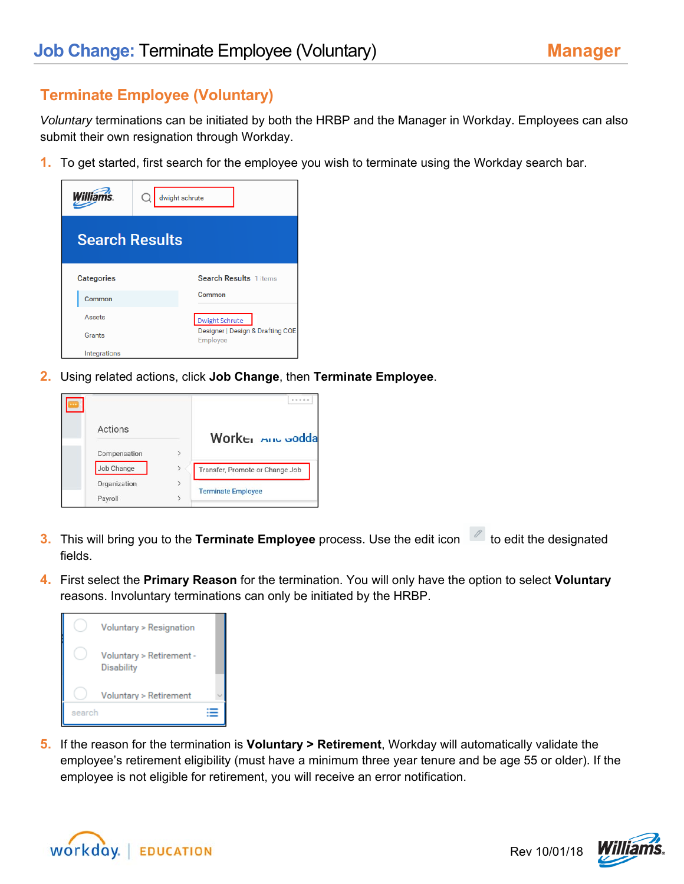## **Terminate Employee (Voluntary)**

*Voluntary* terminations can be initiated by both the HRBP and the Manager in Workday. Employees can also submit their own resignation through Workday.

**1.** To get started, first search for the employee you wish to terminate using the Workday search bar.

| <b>Williams</b>       | dwight schrute                               |  |  |
|-----------------------|----------------------------------------------|--|--|
| <b>Search Results</b> |                                              |  |  |
| <b>Categories</b>     | Search Results 1 items                       |  |  |
| Common                | Common                                       |  |  |
| Assets                | <b>Dwight Schrute</b>                        |  |  |
| Grants                | Designer   Design & Drafting COE<br>Employee |  |  |
| Integrations          |                                              |  |  |

**2.** Using related actions, click **Job Change**, then **Terminate Employee**.

|         | Actions      | Worker <b>Aric</b> Godda        |
|---------|--------------|---------------------------------|
|         | Compensation |                                 |
|         | Job Change   | Transfer, Promote or Change Job |
|         | Organization | <b>Terminate Employee</b>       |
| Payroll |              |                                 |

- **3.** This will bring you to the Terminate Employee process. Use the edit icon the edit the designated fields.
- **4.** First select the **Primary Reason** for the termination. You will only have the option to select **Voluntary** reasons. Involuntary terminations can only be initiated by the HRBP.



**5.** If the reason for the termination is **Voluntary > Retirement**, Workday will automatically validate the employee's retirement eligibility (must have a minimum three year tenure and be age 55 or older). If the employee is not eligible for retirement, you will receive an error notification.



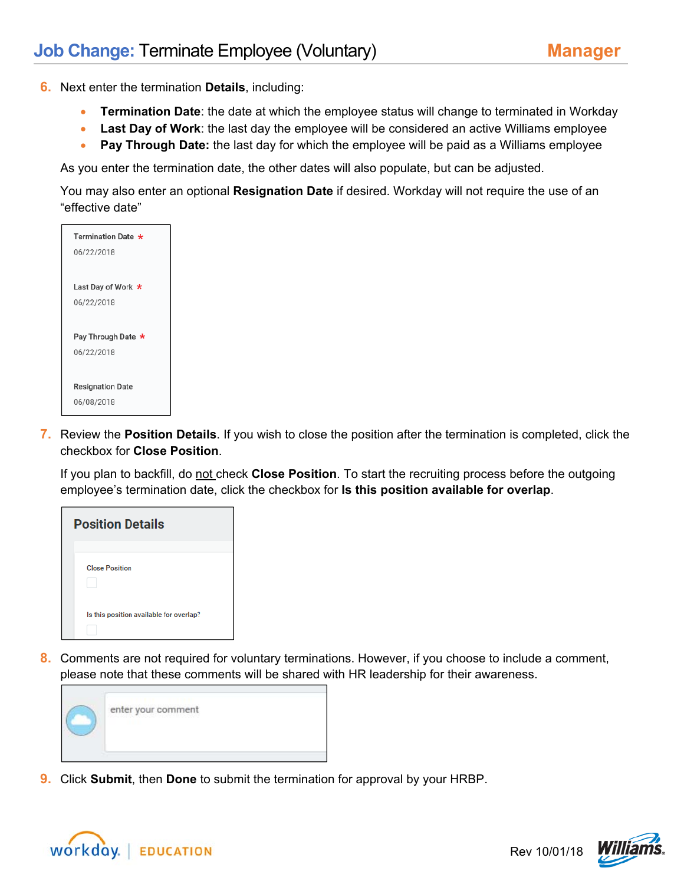- **6.** Next enter the termination **Details**, including:
	- **Termination Date**: the date at which the employee status will change to terminated in Workday
	- **Last Day of Work**: the last day the employee will be considered an active Williams employee
	- **Pay Through Date:** the last day for which the employee will be paid as a Williams employee

As you enter the termination date, the other dates will also populate, but can be adjusted.

You may also enter an optional **Resignation Date** if desired. Workday will not require the use of an "effective date"



**7.** Review the **Position Details**. If you wish to close the position after the termination is completed, click the checkbox for **Close Position**.

If you plan to backfill, do not check **Close Position**. To start the recruiting process before the outgoing employee's termination date, click the checkbox for **Is this position available for overlap**.



**8.** Comments are not required for voluntary terminations. However, if you choose to include a comment, please note that these comments will be shared with HR leadership for their awareness.



**9.** Click **Submit**, then **Done** to submit the termination for approval by your HRBP.